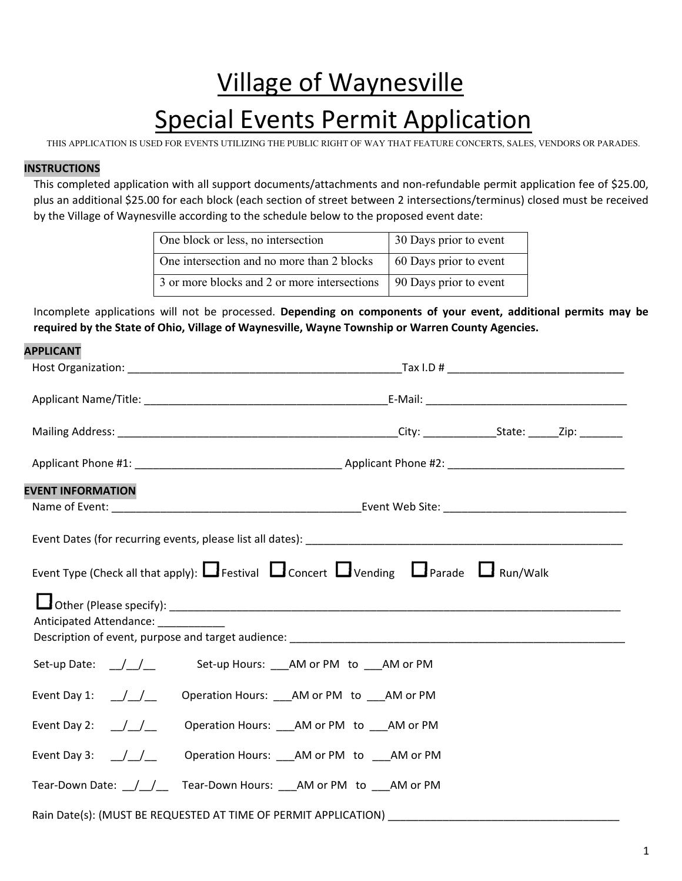# Village of Waynesville Special Events Permit Application

THIS APPLICATION IS USED FOR EVENTS UTILIZING THE PUBLIC RIGHT OF WAY THAT FEATURE CONCERTS, SALES, VENDORS OR PARADES.

### **INSTRUCTIONS**

This completed application with all support documents/attachments and non-refundable permit application fee of \$25.00, plus an additional \$25.00 for each block (each section of street between 2 intersections/terminus) closed must be received by the Village of Waynesville according to the schedule below to the proposed event date:

| One block or less, no intersection           | 30 Days prior to event |
|----------------------------------------------|------------------------|
| One intersection and no more than 2 blocks   | 60 Days prior to event |
| 3 or more blocks and 2 or more intersections | 90 Days prior to event |

Incomplete applications will not be processed. **Depending on components of your event, additional permits may be required by the State of Ohio, Village of Waynesville, Wayne Township or Warren County Agencies.**

| <b>APPLICANT</b>                                                                                                                                     |                                                 |  |  |  |
|------------------------------------------------------------------------------------------------------------------------------------------------------|-------------------------------------------------|--|--|--|
|                                                                                                                                                      |                                                 |  |  |  |
|                                                                                                                                                      |                                                 |  |  |  |
|                                                                                                                                                      |                                                 |  |  |  |
|                                                                                                                                                      |                                                 |  |  |  |
| <b>EVENT INFORMATION</b>                                                                                                                             |                                                 |  |  |  |
|                                                                                                                                                      |                                                 |  |  |  |
| Event Type (Check all that apply): $\Box$ Festival $\Box$ Concert $\Box$ Vending $\Box$ Parade $\Box$ Run/Walk<br>Anticipated Attendance: __________ |                                                 |  |  |  |
| Set-up Date: $\angle$                                                                                                                                | Set-up Hours: ___AM or PM to ___AM or PM        |  |  |  |
| Event Day 1: $\angle$                                                                                                                                | Operation Hours: ___ AM or PM to ___ AM or PM   |  |  |  |
| Event Day 2: $\angle$                                                                                                                                | Operation Hours: ___ AM or PM to ___ AM or PM   |  |  |  |
| Event Day 3: $\angle$ /                                                                                                                              | Operation Hours: ____ AM or PM to ____ AM or PM |  |  |  |
|                                                                                                                                                      |                                                 |  |  |  |
|                                                                                                                                                      |                                                 |  |  |  |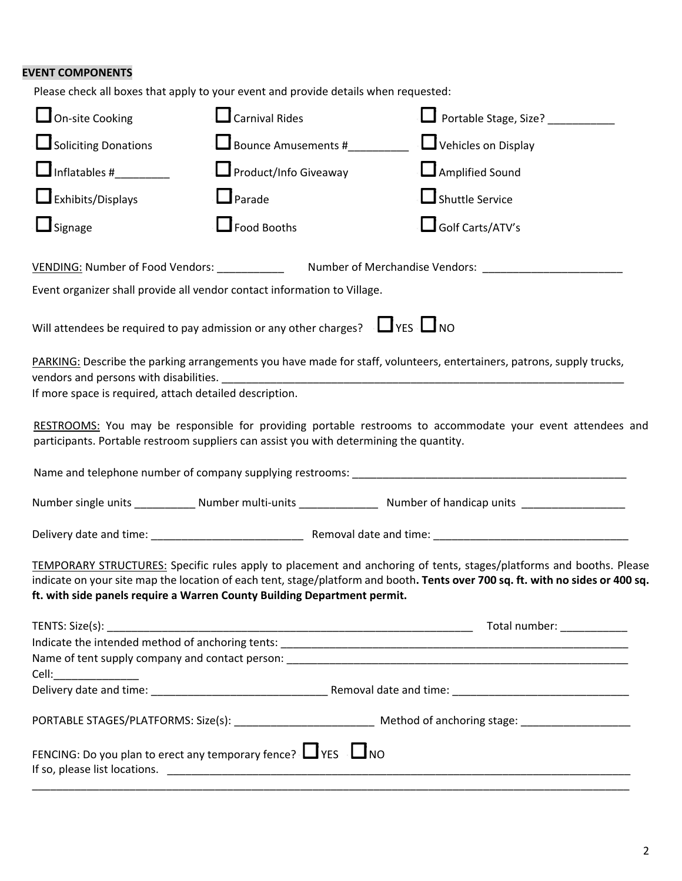## **EVENT COMPONENTS**

| Please check all boxes that apply to your event and provide details when requested:     |                              |                                                                                                                                                                                                                                                       |
|-----------------------------------------------------------------------------------------|------------------------------|-------------------------------------------------------------------------------------------------------------------------------------------------------------------------------------------------------------------------------------------------------|
| $\Box$ On-site Cooking                                                                  | $\Box$ Carnival Rides        | Portable Stage, Size? __________                                                                                                                                                                                                                      |
| Soliciting Donations                                                                    | Bounce Amusements #_________ | Vehicles on Display                                                                                                                                                                                                                                   |
| $\Box$ Inflatables # $\Box$                                                             | Product/Info Giveaway        | Amplified Sound                                                                                                                                                                                                                                       |
| $\Box$ Exhibits/Displays                                                                | $\Box$ Parade                | Shuttle Service                                                                                                                                                                                                                                       |
| $\Box$ Signage                                                                          | $\Box$ Food Booths           | Golf Carts/ATV's                                                                                                                                                                                                                                      |
| VENDING: Number of Food Vendors: ____________                                           |                              |                                                                                                                                                                                                                                                       |
| Event organizer shall provide all vendor contact information to Village.                |                              |                                                                                                                                                                                                                                                       |
| Will attendees be required to pay admission or any other charges? $\Box$ YES $\Box$ NO  |                              |                                                                                                                                                                                                                                                       |
| If more space is required, attach detailed description.                                 |                              | PARKING: Describe the parking arrangements you have made for staff, volunteers, entertainers, patrons, supply trucks,                                                                                                                                 |
| participants. Portable restroom suppliers can assist you with determining the quantity. |                              | RESTROOMS: You may be responsible for providing portable restrooms to accommodate your event attendees and                                                                                                                                            |
|                                                                                         |                              |                                                                                                                                                                                                                                                       |
|                                                                                         |                              | Number single units _____________ Number multi-units _____________________ Number of handicap units ________________                                                                                                                                  |
|                                                                                         |                              |                                                                                                                                                                                                                                                       |
| ft. with side panels require a Warren County Building Department permit.                |                              | TEMPORARY STRUCTURES: Specific rules apply to placement and anchoring of tents, stages/platforms and booths. Please<br>indicate on your site map the location of each tent, stage/platform and booth. Tents over 700 sq. ft. with no sides or 400 sq. |
|                                                                                         |                              |                                                                                                                                                                                                                                                       |
|                                                                                         |                              |                                                                                                                                                                                                                                                       |
|                                                                                         |                              |                                                                                                                                                                                                                                                       |
|                                                                                         |                              |                                                                                                                                                                                                                                                       |
| FENCING: Do you plan to erect any temporary fence? $\Box$ YES $\Box$ NO                 |                              |                                                                                                                                                                                                                                                       |

\_\_\_\_\_\_\_\_\_\_\_\_\_\_\_\_\_\_\_\_\_\_\_\_\_\_\_\_\_\_\_\_\_\_\_\_\_\_\_\_\_\_\_\_\_\_\_\_\_\_\_\_\_\_\_\_\_\_\_\_\_\_\_\_\_\_\_\_\_\_\_\_\_\_\_\_\_\_\_\_\_\_\_\_\_\_\_\_\_\_\_\_\_\_\_\_\_\_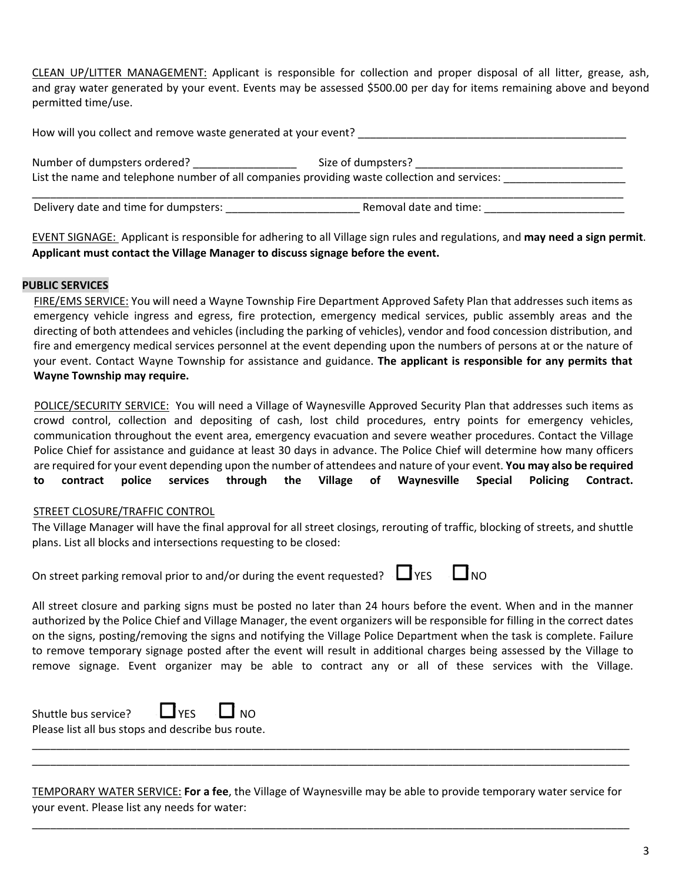CLEAN UP/LITTER MANAGEMENT: Applicant is responsible for collection and proper disposal of all litter, grease, ash, and gray water generated by your event. Events may be assessed \$500.00 per day for items remaining above and beyond permitted time/use.

| How will you collect and remove waste generated at your event?                               |                        |  |
|----------------------------------------------------------------------------------------------|------------------------|--|
| Number of dumpsters ordered?                                                                 | Size of dumpsters?     |  |
| List the name and telephone number of all companies providing waste collection and services: |                        |  |
| Delivery date and time for dumpsters:                                                        | Removal date and time: |  |

EVENT SIGNAGE: Applicant is responsible for adhering to all Village sign rules and regulations, and **may need a sign permit**. **Applicant must contact the Village Manager to discuss signage before the event.**

### **PUBLIC SERVICES**

FIRE/EMS SERVICE: You will need a Wayne Township Fire Department Approved Safety Plan that addresses such items as emergency vehicle ingress and egress, fire protection, emergency medical services, public assembly areas and the directing of both attendees and vehicles (including the parking of vehicles), vendor and food concession distribution, and fire and emergency medical services personnel at the event depending upon the numbers of persons at or the nature of your event. Contact Wayne Township for assistance and guidance. **The applicant is responsible for any permits that Wayne Township may require.**

POLICE/SECURITY SERVICE: You will need a Village of Waynesville Approved Security Plan that addresses such items as crowd control, collection and depositing of cash, lost child procedures, entry points for emergency vehicles, communication throughout the event area, emergency evacuation and severe weather procedures. Contact the Village Police Chief for assistance and guidance at least 30 days in advance. The Police Chief will determine how many officers are required for your event depending upon the number of attendees and nature of your event. **You may also be required to contract police services through the Village of Waynesville Special Policing Contract.**

### STREET CLOSURE/TRAFFIC CONTROL

The Village Manager will have the final approval for all street closings, rerouting of traffic, blocking of streets, and shuttle plans. List all blocks and intersections requesting to be closed:

On street parking removal prior to and/or during the event requested?  $\Box$  YES  $\Box$  NO

| v<br>т |  |  |
|--------|--|--|
|--------|--|--|

All street closure and parking signs must be posted no later than 24 hours before the event. When and in the manner authorized by the Police Chief and Village Manager, the event organizers will be responsible for filling in the correct dates on the signs, posting/removing the signs and notifying the Village Police Department when the task is complete. Failure to remove temporary signage posted after the event will result in additional charges being assessed by the Village to remove signage. Event organizer may be able to contract any or all of these services with the Village.

| Shuttle bus service?                              | $\Box$ YES | $\Box$ NO |
|---------------------------------------------------|------------|-----------|
| Please list all bus stops and describe bus route. |            |           |

TEMPORARY WATER SERVICE: **For a fee**, the Village of Waynesville may be able to provide temporary water service for your event. Please list any needs for water:

\_\_\_\_\_\_\_\_\_\_\_\_\_\_\_\_\_\_\_\_\_\_\_\_\_\_\_\_\_\_\_\_\_\_\_\_\_\_\_\_\_\_\_\_\_\_\_\_\_\_\_\_\_\_\_\_\_\_\_\_\_\_\_\_\_\_\_\_\_\_\_\_\_\_\_\_\_\_\_\_\_\_\_\_\_\_\_\_\_\_\_\_\_\_\_\_\_\_

\_\_\_\_\_\_\_\_\_\_\_\_\_\_\_\_\_\_\_\_\_\_\_\_\_\_\_\_\_\_\_\_\_\_\_\_\_\_\_\_\_\_\_\_\_\_\_\_\_\_\_\_\_\_\_\_\_\_\_\_\_\_\_\_\_\_\_\_\_\_\_\_\_\_\_\_\_\_\_\_\_\_\_\_\_\_\_\_\_\_\_\_\_\_\_\_\_\_ \_\_\_\_\_\_\_\_\_\_\_\_\_\_\_\_\_\_\_\_\_\_\_\_\_\_\_\_\_\_\_\_\_\_\_\_\_\_\_\_\_\_\_\_\_\_\_\_\_\_\_\_\_\_\_\_\_\_\_\_\_\_\_\_\_\_\_\_\_\_\_\_\_\_\_\_\_\_\_\_\_\_\_\_\_\_\_\_\_\_\_\_\_\_\_\_\_\_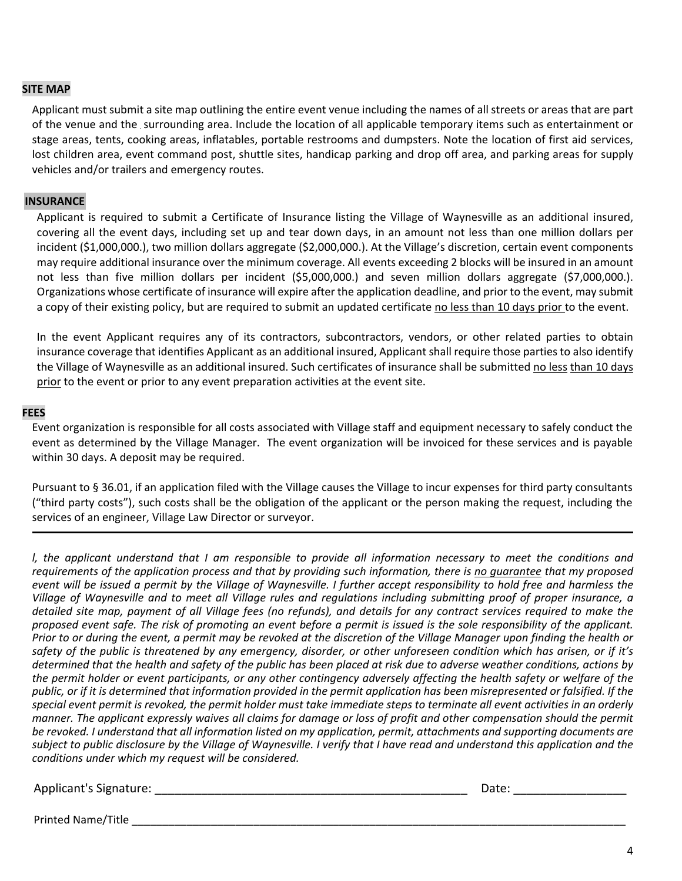#### **SITE MAP**

Applicant must submit a site map outlining the entire event venue including the names of all streets or areas that are part of the venue and the surrounding area. Include the location of all applicable temporary items such as entertainment or stage areas, tents, cooking areas, inflatables, portable restrooms and dumpsters. Note the location of first aid services, lost children area, event command post, shuttle sites, handicap parking and drop off area, and parking areas for supply vehicles and/or trailers and emergency routes.

#### **INSURANCE**

Applicant is required to submit a Certificate of Insurance listing the Village of Waynesville as an additional insured, covering all the event days, including set up and tear down days, in an amount not less than one million dollars per incident (\$1,000,000.), two million dollars aggregate (\$2,000,000.). At the Village's discretion, certain event components may require additional insurance over the minimum coverage. All events exceeding 2 blocks will be insured in an amount not less than five million dollars per incident (\$5,000,000.) and seven million dollars aggregate (\$7,000,000.). Organizations whose certificate of insurance will expire after the application deadline, and prior to the event, may submit a copy of their existing policy, but are required to submit an updated certificate no less than 10 days prior to the event.

In the event Applicant requires any of its contractors, subcontractors, vendors, or other related parties to obtain insurance coverage that identifies Applicant as an additional insured, Applicant shall require those parties to also identify the Village of Waynesville as an additional insured. Such certificates of insurance shall be submitted no less than 10 days prior to the event or prior to any event preparation activities at the event site.

#### **FEES**

Event organization is responsible for all costs associated with Village staff and equipment necessary to safely conduct the event as determined by the Village Manager. The event organization will be invoiced for these services and is payable within 30 days. A deposit may be required.

Pursuant to § 36.01, if an application filed with the Village causes the Village to incur expenses for third party consultants ("third party costs"), such costs shall be the obligation of the applicant or the person making the request, including the services of an engineer, Village Law Director or surveyor.

I, the applicant understand that I am responsible to provide all information necessary to meet the conditions and requirements of the application process and that by providing such information, there is no quarantee that my proposed event will be issued a permit by the Village of Waynesville. I further accept responsibility to hold free and harmless the Village of Waynesville and to meet all Village rules and regulations including submitting proof of proper insurance, a detailed site map, payment of all Village fees (no refunds), and details for any contract services required to make the proposed event safe. The risk of promoting an event before a permit is issued is the sole responsibility of the applicant. Prior to or during the event, a permit may be revoked at the discretion of the Village Manager upon finding the health or safety of the public is threatened by any emergency, disorder, or other unforeseen condition which has arisen, or if it's determined that the health and safety of the public has been placed at risk due to adverse weather conditions, actions by the permit holder or event participants, or any other contingency adversely affecting the health safety or welfare of the public, or if it is determined that information provided in the permit application has been misrepresented or falsified. If the special event permit is revoked, the permit holder must take immediate steps to terminate all event activities in an orderly manner. The applicant expressly waives all claims for damage or loss of profit and other compensation should the permit be revoked. I understand that all information listed on my application, permit, attachments and supporting documents are subject to public disclosure by the Village of Waynesville. I verify that I have read and understand this application and the *conditions under which my request will be considered.*

#### Applicant's Signature: \_\_\_\_\_\_\_\_\_\_\_\_\_\_\_\_\_\_\_\_\_\_\_\_\_\_\_\_\_\_\_\_\_\_\_\_\_\_\_\_\_\_\_\_\_\_\_ Date: \_\_\_\_\_\_\_\_\_\_\_\_\_\_\_\_\_

Printed Name/Title \_\_\_\_\_\_\_\_\_\_\_\_\_\_\_\_\_\_\_\_\_\_\_\_\_\_\_\_\_\_\_\_\_\_\_\_\_\_\_\_\_\_\_\_\_\_\_\_\_\_\_\_\_\_\_\_\_\_\_\_\_\_\_\_\_\_\_\_\_\_\_\_\_\_\_\_\_\_\_\_\_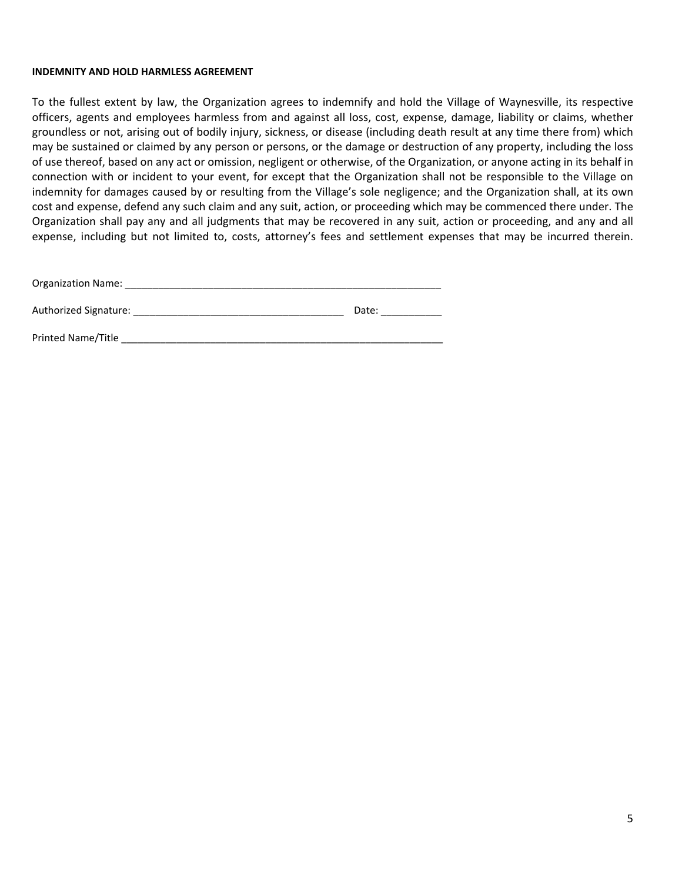#### **INDEMNITY AND HOLD HARMLESS AGREEMENT**

To the fullest extent by law, the Organization agrees to indemnify and hold the Village of Waynesville, its respective officers, agents and employees harmless from and against all loss, cost, expense, damage, liability or claims, whether groundless or not, arising out of bodily injury, sickness, or disease (including death result at any time there from) which may be sustained or claimed by any person or persons, or the damage or destruction of any property, including the loss of use thereof, based on any act or omission, negligent or otherwise, of the Organization, or anyone acting in its behalf in connection with or incident to your event, for except that the Organization shall not be responsible to the Village on indemnity for damages caused by or resulting from the Village's sole negligence; and the Organization shall, at its own cost and expense, defend any such claim and any suit, action, or proceeding which may be commenced there under. The Organization shall pay any and all judgments that may be recovered in any suit, action or proceeding, and any and all expense, including but not limited to, costs, attorney's fees and settlement expenses that may be incurred therein.

| <b>Organization Name:</b> |       |
|---------------------------|-------|
| Authorized Signature:     | Date: |
| Printed Name/Title        |       |